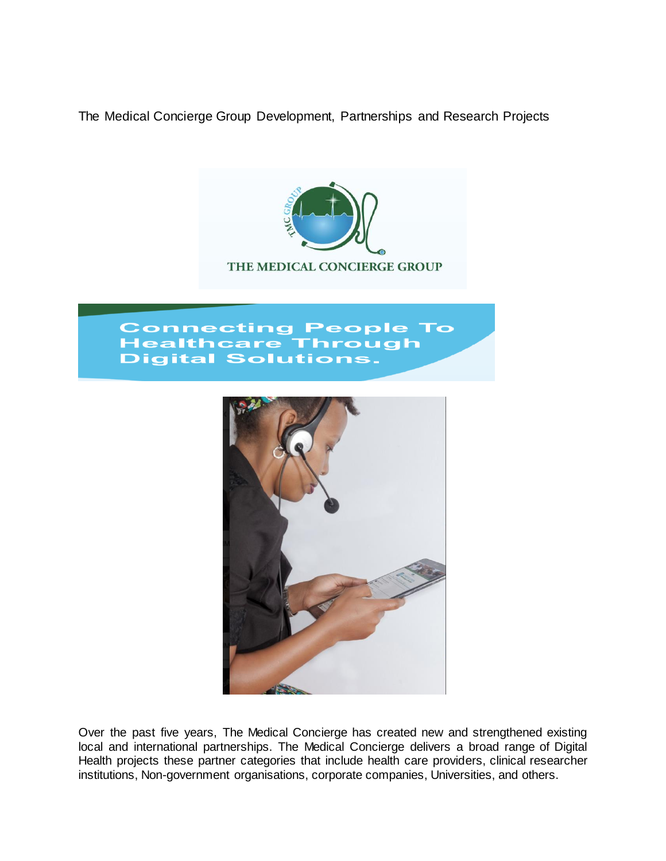The Medical Concierge Group Development, Partnerships and Research Projects



# **Connecting People To Healthcare Through Digital Solutions.**



Over the past five years, The Medical Concierge has created new and strengthened existing local and international partnerships. The Medical Concierge delivers a broad range of Digital Health projects these partner categories that include health care providers, clinical researcher institutions, Non-government organisations, corporate companies, Universities, and others.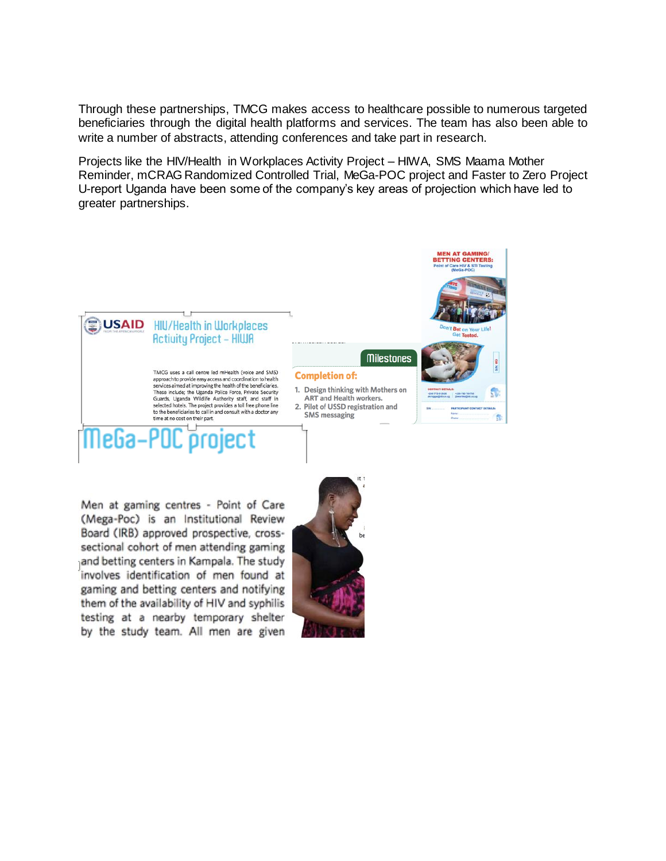Through these partnerships, TMCG makes access to healthcare possible to numerous targeted beneficiaries through the digital health platforms and services. The team has also been able to write a number of abstracts, attending conferences and take part in research.

Projects like the HIV/Health in Workplaces Activity Project – HIWA, SMS Maama Mother Reminder, mCRAG Randomized Controlled Trial, MeGa-POC project and Faster to Zero Project U-report Uganda have been some of the company's key areas of projection which have led to greater partnerships.



Men at gaming centres - Point of Care (Mega-Poc) is an Institutional Review Board (IRB) approved prospective, crosssectional cohort of men attending gaming and betting centers in Kampala. The study involves identification of men found at gaming and betting centers and notifying them of the availability of HIV and syphilis testing at a nearby temporary shelter by the study team. All men are given

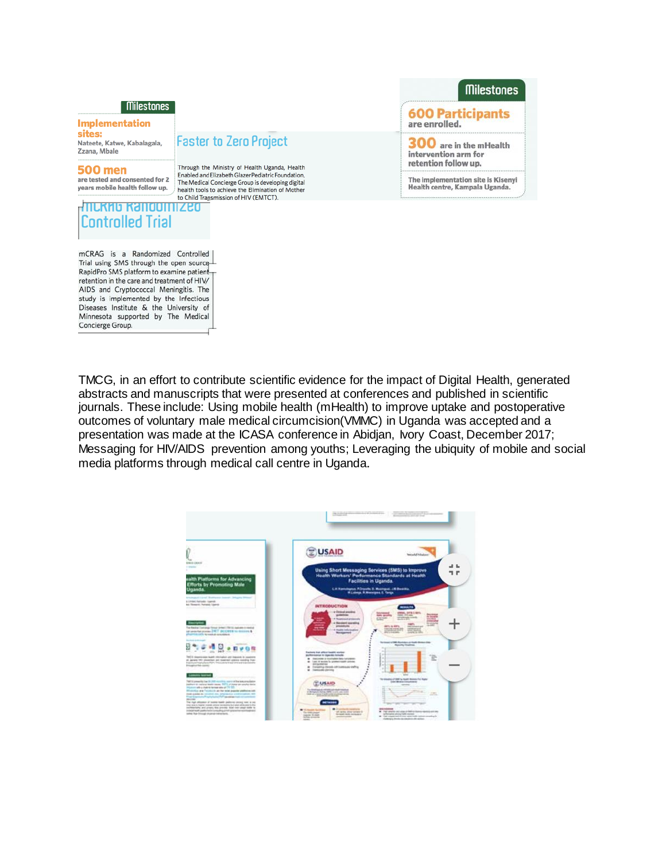#### **Milestones**

#### **Implementation** sites:

Nateete, Katwe, Kabalagala, Zzana, Mbale

### **500 men**

are tested and consented for 2 years mobile health follow up.

## <u>.mlkmo kandonnized</u> Controlled Trial

mCRAG is a Randomized Controlled Trial using SMS through the open source RapidPro SMS platform to examine patientretention in the care and treatment of HIV/ AIDS and Cryptococcal Meningitis. The study is implemented by the Infectious Diseases Institute & the University of Minnesota supported by The Medical Concierge Group.

# **Faster to Zero Project**

Through the Ministry of Health Uganda, Health Enabled and Elizabeth Glazer Pediatric Foundation, The Medical Concierge Group is developing digital health tools to achieve the Elimination of Mother to Child Transmission of HIV (EMTCT).

## **Milestones**

**600 Participants** are enrolled.

 $300$  are in the mHealth intervention arm for retention follow up.

The implementation site is Kisenyi<br>Health centre, Kampala Uganda.

TMCG, in an effort to contribute scientific evidence for the impact of Digital Health, generated abstracts and manuscripts that were presented at conferences and published in scientific journals. These include: Using mobile health (mHealth) to improve uptake and postoperative outcomes of voluntary male medical circumcision (VMMC) in Uganda was accepted and a presentation was made at the ICASA conference in Abidjan, Ivory Coast, December 2017; Messaging for HIV/AIDS prevention among youths; Leveraging the ubiquity of mobile and social media platforms through medical call centre in Uganda.